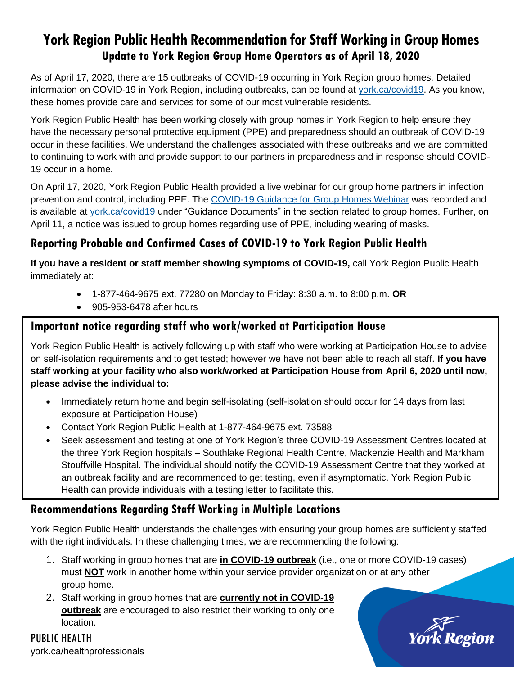# **York Region Public Health Recommendation for Staff Working in Group Homes Update to York Region Group Home Operators as of April 18, 2020**

As of April 17, 2020, there are 15 outbreaks of COVID-19 occurring in York Region group homes. Detailed information on COVID-19 in York Region, including outbreaks, can be found at [york.ca/covid19.](file:///C:/Users/reidtt/AppData/Roaming/OpenText/DM/Temp/york.ca/covid19) As you know, these homes provide care and services for some of our most vulnerable residents.

York Region Public Health has been working closely with group homes in York Region to help ensure they have the necessary personal protective equipment (PPE) and preparedness should an outbreak of COVID-19 occur in these facilities. We understand the challenges associated with these outbreaks and we are committed to continuing to work with and provide support to our partners in preparedness and in response should COVID-19 occur in a home.

On April 17, 2020, York Region Public Health provided a live webinar for our group home partners in infection prevention and control, including PPE. The [COVID-19 Guidance for Group Homes Webinar](https://youtu.be/vO-TWjh_IVY) was recorded and is available at [york.ca/covid19](http://york.ca/covid19) under "Guidance Documents" in the section related to group homes. Further, on April 11, a notice was issued to group homes regarding use of PPE, including wearing of masks.

## **Reporting Probable and Confirmed Cases of COVID-19 to York Region Public Health**

**If you have a resident or staff member showing symptoms of COVID-19,** call York Region Public Health immediately at:

- 1-877-464-9675 ext. 77280 on Monday to Friday: 8:30 a.m. to 8:00 p.m. **OR**
- 905-953-6478 after hours

### **Important notice regarding staff who work/worked at Participation House**

York Region Public Health is actively following up with staff who were working at Participation House to advise on self-isolation requirements and to get tested; however we have not been able to reach all staff. **If you have staff working at your facility who also work/worked at Participation House from April 6, 2020 until now, please advise the individual to:**

- Immediately return home and begin self-isolating (self-isolation should occur for 14 days from last exposure at Participation House)
- Contact York Region Public Health at 1-877-464-9675 ext. 73588
- Seek assessment and testing at one of York Region's three COVID-19 Assessment Centres located at the three York Region hospitals – Southlake Regional Health Centre, Mackenzie Health and Markham Stouffville Hospital. The individual should notify the COVID-19 Assessment Centre that they worked at an outbreak facility and are recommended to get testing, even if asymptomatic. York Region Public Health can provide individuals with a testing letter to facilitate this.

## **Recommendations Regarding Staff Working in Multiple Locations**

York Region Public Health understands the challenges with ensuring your group homes are sufficiently staffed with the right individuals. In these challenging times, we are recommending the following:

- 1. Staff working in group homes that are **in COVID-19 outbreak** (i.e., one or more COVID-19 cases) must **NOT** work in another home within your service provider organization or at any other group home.
- 2. Staff working in group homes that are **currently not in COVID-19 outbreak** are encouraged to also restrict their working to only one location.

**York Region** 

PUBLIC HEALTH york.ca/healthprofessionals